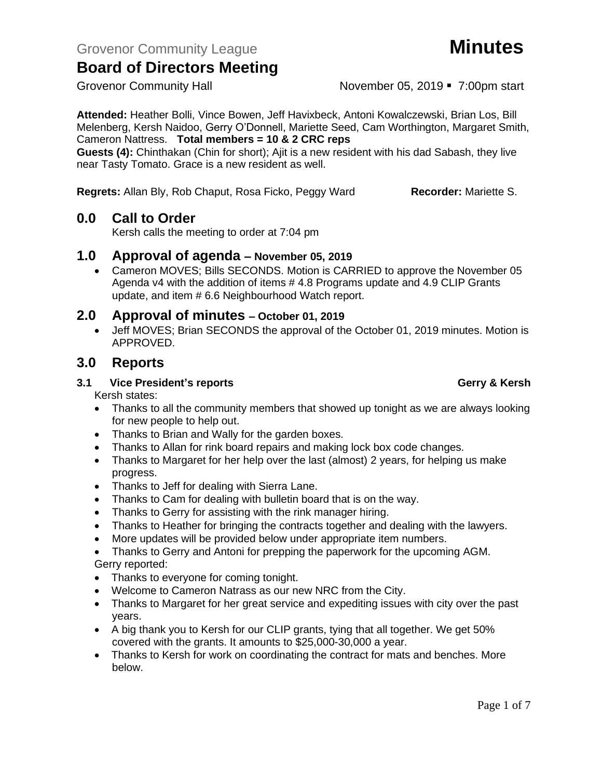Grovenor Community Hall **November 05, 2019** • 7:00pm start

**Attended:** Heather Bolli, Vince Bowen, Jeff Havixbeck, Antoni Kowalczewski, Brian Los, Bill Melenberg, Kersh Naidoo, Gerry O'Donnell, Mariette Seed, Cam Worthington, Margaret Smith, Cameron Nattress. **Total members = 10 & 2 CRC reps**

**Guests (4):** Chinthakan (Chin for short); Ajit is a new resident with his dad Sabash, they live near Tasty Tomato. Grace is a new resident as well.

**Regrets:** Allan Bly, Rob Chaput, Rosa Ficko, Peggy Ward **Recorder:** Mariette S.

### **0.0 Call to Order**

Kersh calls the meeting to order at 7:04 pm

### **1.0 Approval of agenda – November 05, 2019**

• Cameron MOVES; Bills SECONDS. Motion is CARRIED to approve the November 05 Agenda v4 with the addition of items # 4.8 Programs update and 4.9 CLIP Grants update, and item # 6.6 Neighbourhood Watch report.

### **2.0 Approval of minutes – October 01, 2019**

• Jeff MOVES; Brian SECONDS the approval of the October 01, 2019 minutes. Motion is APPROVED.

### **3.0 Reports**

### **3.1 Vice President's reports Gerry & Kersh**

Kersh states:

- Thanks to all the community members that showed up tonight as we are always looking for new people to help out.
- Thanks to Brian and Wally for the garden boxes.
- Thanks to Allan for rink board repairs and making lock box code changes.
- Thanks to Margaret for her help over the last (almost) 2 years, for helping us make progress.
- Thanks to Jeff for dealing with Sierra Lane.
- Thanks to Cam for dealing with bulletin board that is on the way.
- Thanks to Gerry for assisting with the rink manager hiring.
- Thanks to Heather for bringing the contracts together and dealing with the lawyers.
- More updates will be provided below under appropriate item numbers.
- Thanks to Gerry and Antoni for prepping the paperwork for the upcoming AGM. Gerry reported:
- Thanks to everyone for coming tonight.
- Welcome to Cameron Natrass as our new NRC from the City.
- Thanks to Margaret for her great service and expediting issues with city over the past years.
- A big thank you to Kersh for our CLIP grants, tying that all together. We get 50% covered with the grants. It amounts to \$25,000-30,000 a year.
- Thanks to Kersh for work on coordinating the contract for mats and benches. More below.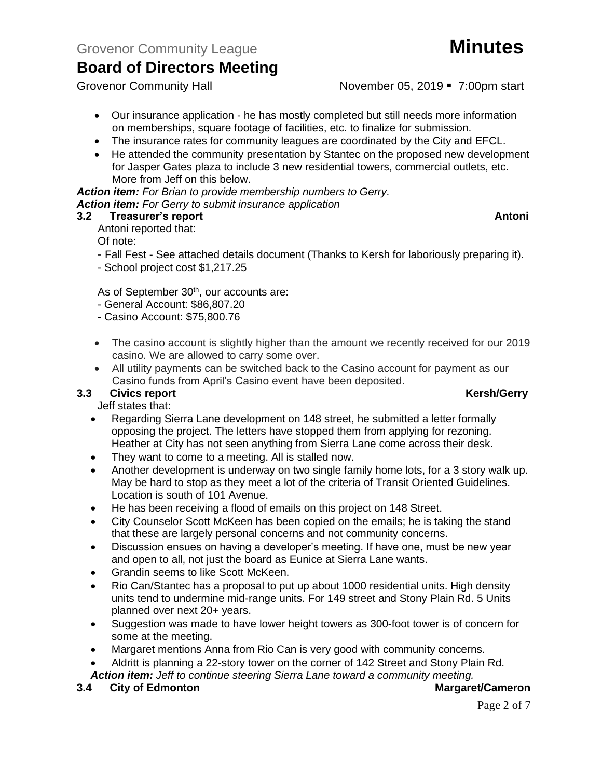Grovenor Community Hall **November 05, 2019** • 7:00pm start

- Our insurance application he has mostly completed but still needs more information on memberships, square footage of facilities, etc. to finalize for submission.
- The insurance rates for community leagues are coordinated by the City and EFCL.
- He attended the community presentation by Stantec on the proposed new development for Jasper Gates plaza to include 3 new residential towers, commercial outlets, etc. More from Jeff on this below.

*Action item: For Brian to provide membership numbers to Gerry. Action item: For Gerry to submit insurance application*

#### **3.2 Treasurer's report Antonic Street Antonic Street Antonic Street Antonic Street Antonic Antonic Antonic Antonic Street Antonic Street Antonic Street Antonic Antonic Antonic Street Antonic Street Antonic Street Antonic**

Antoni reported that:

Of note:

- Fall Fest See attached details document (Thanks to Kersh for laboriously preparing it).
- School project cost \$1,217.25

As of September 30<sup>th</sup>, our accounts are:

- General Account: \$86,807.20
- Casino Account: \$75,800.76
- The casino account is slightly higher than the amount we recently received for our 2019 casino. We are allowed to carry some over.
- All utility payments can be switched back to the Casino account for payment as our Casino funds from April's Casino event have been deposited.

#### **3.3** Civics report **Kersh/Gerry**

Jeff states that:

- Regarding Sierra Lane development on 148 street, he submitted a letter formally opposing the project. The letters have stopped them from applying for rezoning. Heather at City has not seen anything from Sierra Lane come across their desk.
- They want to come to a meeting. All is stalled now.
- Another development is underway on two single family home lots, for a 3 story walk up. May be hard to stop as they meet a lot of the criteria of Transit Oriented Guidelines. Location is south of 101 Avenue.
- He has been receiving a flood of emails on this project on 148 Street.
- City Counselor Scott McKeen has been copied on the emails; he is taking the stand that these are largely personal concerns and not community concerns.
- Discussion ensues on having a developer's meeting. If have one, must be new year and open to all, not just the board as Eunice at Sierra Lane wants.
- Grandin seems to like Scott McKeen.
- Rio Can/Stantec has a proposal to put up about 1000 residential units. High density units tend to undermine mid-range units. For 149 street and Stony Plain Rd. 5 Units planned over next 20+ years.
- Suggestion was made to have lower height towers as 300-foot tower is of concern for some at the meeting.
- Margaret mentions Anna from Rio Can is very good with community concerns.
- Aldritt is planning a 22-story tower on the corner of 142 Street and Stony Plain Rd. *Action item: Jeff to continue steering Sierra Lane toward a community meeting.*

**3.4 City of Edmonton Margaret/Cameron**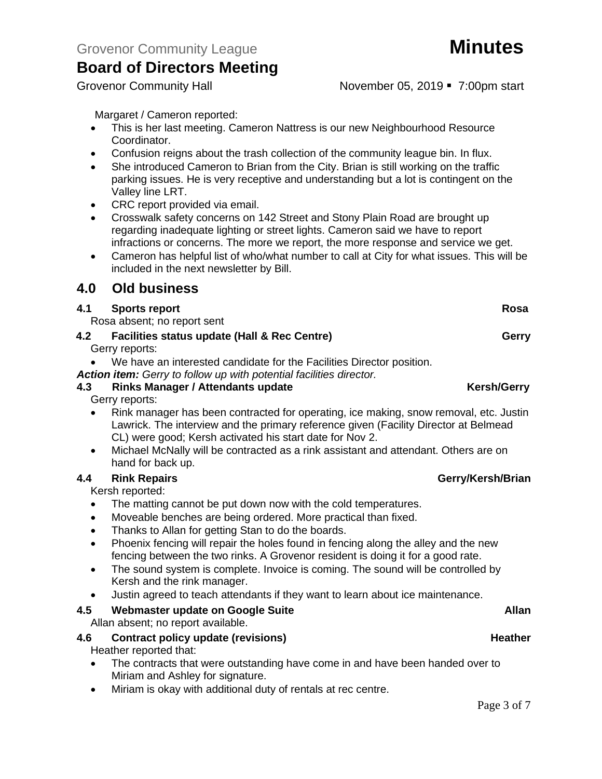Grovenor Community Hall **November 05, 2019** • 7:00pm start

Margaret / Cameron reported:

- This is her last meeting. Cameron Nattress is our new Neighbourhood Resource Coordinator.
- Confusion reigns about the trash collection of the community league bin. In flux.
- She introduced Cameron to Brian from the City. Brian is still working on the traffic parking issues. He is very receptive and understanding but a lot is contingent on the Valley line LRT.
- CRC report provided via email.
- Crosswalk safety concerns on 142 Street and Stony Plain Road are brought up regarding inadequate lighting or street lights. Cameron said we have to report infractions or concerns. The more we report, the more response and service we get.
- Cameron has helpful list of who/what number to call at City for what issues. This will be included in the next newsletter by Bill.

### **4.0 Old business**

#### **4.1** Sports report Rosa

Rosa absent; no report sent

- **4.2 Facilities status update (Hall & Rec Centre) Gerry** Gerry reports:
	- We have an interested candidate for the Facilities Director position.

*Action item: Gerry to follow up with potential facilities director.*

### **4.3 Rinks Manager / Attendants update Kersh/Gerry**

Gerry reports:

- Rink manager has been contracted for operating, ice making, snow removal, etc. Justin Lawrick. The interview and the primary reference given (Facility Director at Belmead CL) were good; Kersh activated his start date for Nov 2.
- Michael McNally will be contracted as a rink assistant and attendant. Others are on hand for back up.

#### **4.4 Rink Repairs Gerry/Kersh/Brian**

Kersh reported:

- The matting cannot be put down now with the cold temperatures.
- Moveable benches are being ordered. More practical than fixed.
- Thanks to Allan for getting Stan to do the boards.
- Phoenix fencing will repair the holes found in fencing along the alley and the new fencing between the two rinks. A Grovenor resident is doing it for a good rate.
- The sound system is complete. Invoice is coming. The sound will be controlled by Kersh and the rink manager.
- Justin agreed to teach attendants if they want to learn about ice maintenance.

#### **4.5 Webmaster update on Google Suite Allan**

Allan absent; no report available.

#### **4.6 Contract policy update (revisions) Heather**

Heather reported that:

- The contracts that were outstanding have come in and have been handed over to Miriam and Ashley for signature.
- Miriam is okay with additional duty of rentals at rec centre.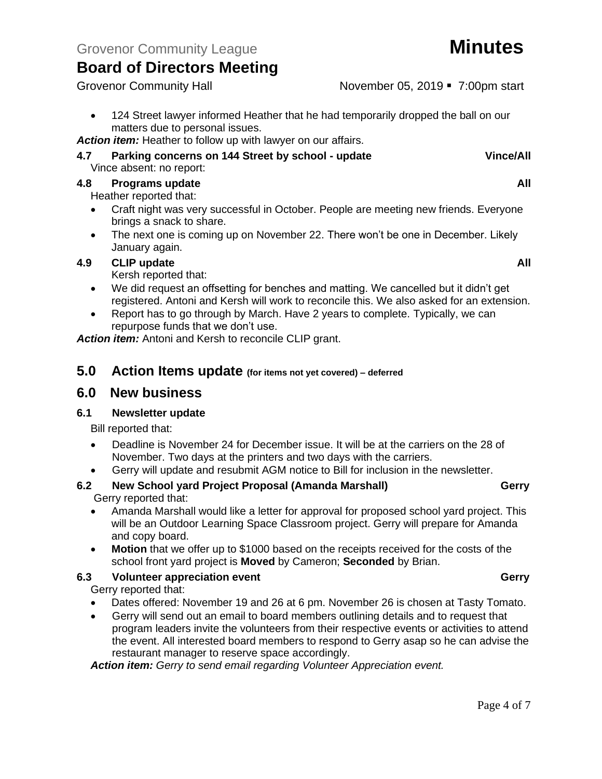• 124 Street lawyer informed Heather that he had temporarily dropped the ball on our matters due to personal issues.

*Action item:* Heather to follow up with lawyer on our affairs.

#### **4.7 Parking concerns on 144 Street by school - update Vince/All** Vince absent: no report:

## **4.8 Programs update All**

Heather reported that:

- Craft night was very successful in October. People are meeting new friends. Everyone brings a snack to share.
- The next one is coming up on November 22. There won't be one in December. Likely January again.

### **4.9 CLIP update All**

Kersh reported that:

- We did request an offsetting for benches and matting. We cancelled but it didn't get registered. Antoni and Kersh will work to reconcile this. We also asked for an extension.
- Report has to go through by March. Have 2 years to complete. Typically, we can repurpose funds that we don't use.

*Action item:* Antoni and Kersh to reconcile CLIP grant.

### **5.0 Action Items update (for items not yet covered) – deferred**

### **6.0 New business**

#### **6.1 Newsletter update**

Bill reported that:

- Deadline is November 24 for December issue. It will be at the carriers on the 28 of November. Two days at the printers and two days with the carriers.
- Gerry will update and resubmit AGM notice to Bill for inclusion in the newsletter.
- **6.2 New School yard Project Proposal (Amanda Marshall) Gerry** Gerry reported that:
	- Amanda Marshall would like a letter for approval for proposed school yard project. This will be an Outdoor Learning Space Classroom project. Gerry will prepare for Amanda and copy board.
	- **Motion** that we offer up to \$1000 based on the receipts received for the costs of the school front yard project is **Moved** by Cameron; **Seconded** by Brian.

#### **6.3 Volunteer appreciation event Gerry**

Gerry reported that:

- Dates offered: November 19 and 26 at 6 pm. November 26 is chosen at Tasty Tomato.
- Gerry will send out an email to board members outlining details and to request that program leaders invite the volunteers from their respective events or activities to attend the event. All interested board members to respond to Gerry asap so he can advise the restaurant manager to reserve space accordingly.

*Action item: Gerry to send email regarding Volunteer Appreciation event.*

#### Page 4 of 7

Grovenor Community Hall **November 05, 2019** • 7:00pm start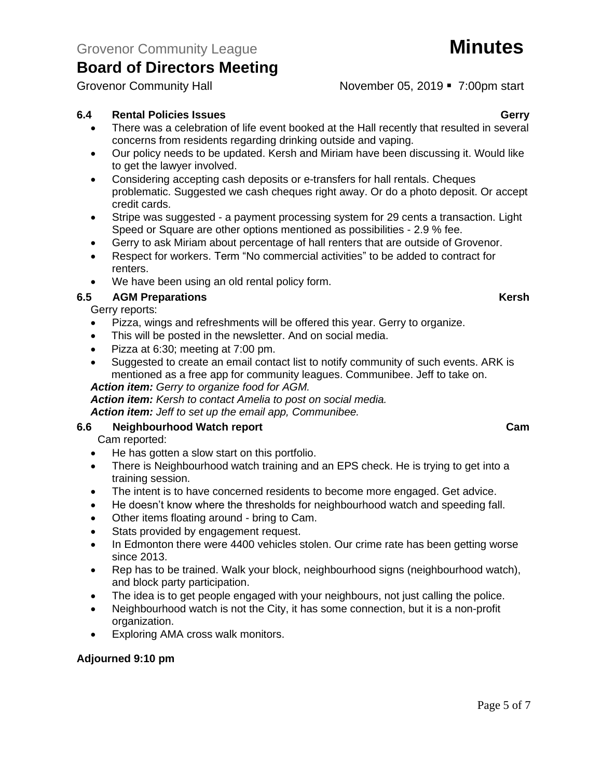Grovenor Community Hall November 05, 2019 · 7:00pm start

### **6.4 Rental Policies Issues Gerry**

- There was a celebration of life event booked at the Hall recently that resulted in several concerns from residents regarding drinking outside and vaping.
- Our policy needs to be updated. Kersh and Miriam have been discussing it. Would like to get the lawyer involved.
- Considering accepting cash deposits or e-transfers for hall rentals. Cheques problematic. Suggested we cash cheques right away. Or do a photo deposit. Or accept credit cards.
- Stripe was suggested a payment processing system for 29 cents a transaction. Light Speed or Square are other options mentioned as possibilities - 2.9 % fee.
- Gerry to ask Miriam about percentage of hall renters that are outside of Grovenor.
- Respect for workers. Term "No commercial activities" to be added to contract for renters.
- We have been using an old rental policy form.

### **6.5 AGM Preparations Kersh**

Gerry reports:

- Pizza, wings and refreshments will be offered this year. Gerry to organize.
- This will be posted in the newsletter. And on social media.
- Pizza at 6:30; meeting at 7:00 pm.
- Suggested to create an email contact list to notify community of such events. ARK is mentioned as a free app for community leagues. Communibee. Jeff to take on.

#### *Action item: Gerry to organize food for AGM.*

*Action item: Kersh to contact Amelia to post on social media.*

*Action item: Jeff to set up the email app, Communibee.*

#### **6.6 Neighbourhood Watch report Cam**

Cam reported:

- He has gotten a slow start on this portfolio.
- There is Neighbourhood watch training and an EPS check. He is trying to get into a training session.
- The intent is to have concerned residents to become more engaged. Get advice.
- He doesn't know where the thresholds for neighbourhood watch and speeding fall.
- Other items floating around bring to Cam.
- Stats provided by engagement request.
- In Edmonton there were 4400 vehicles stolen. Our crime rate has been getting worse since 2013.
- Rep has to be trained. Walk your block, neighbourhood signs (neighbourhood watch), and block party participation.
- The idea is to get people engaged with your neighbours, not just calling the police.
- Neighbourhood watch is not the City, it has some connection, but it is a non-profit organization.
- Exploring AMA cross walk monitors.

#### **Adjourned 9:10 pm**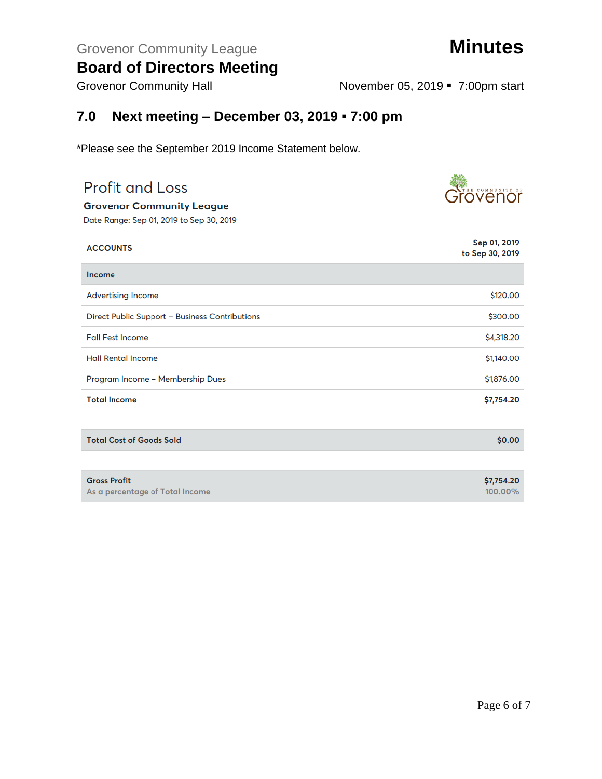## Grovenor Community League **Minutes**

## **Board of Directors Meeting**

Grovenor Community Hall **November 05, 2019** • 7:00pm start

## **7.0 Next meeting – December 03, 2019 ▪ 7:00 pm**

\*Please see the September 2019 Income Statement below.

| <b>Profit and Loss</b>                         | Grövenor                        |
|------------------------------------------------|---------------------------------|
| <b>Grovenor Community League</b>               |                                 |
| Date Range: Sep 01, 2019 to Sep 30, 2019       |                                 |
| <b>ACCOUNTS</b>                                | Sep 01, 2019<br>to Sep 30, 2019 |
| Income                                         |                                 |
| <b>Advertising Income</b>                      | \$120.00                        |
| Direct Public Support - Business Contributions | \$300.00                        |
| <b>Fall Fest Income</b>                        | \$4,318.20                      |
| <b>Hall Rental Income</b>                      | \$1,140.00                      |
| Program Income - Membership Dues               | \$1,876.00                      |
| <b>Total Income</b>                            | \$7,754.20                      |
|                                                |                                 |
| <b>Total Cost of Goods Sold</b>                | \$0.00                          |
|                                                |                                 |
| <b>Gross Profit</b>                            | \$7,754.20                      |
| As a percentage of Total Income                | 100.00%                         |

选续